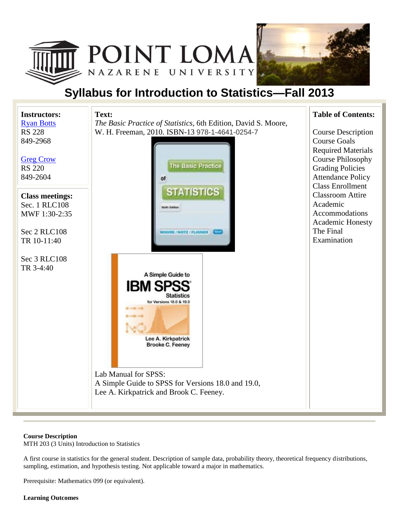



# **Syllabus for Introduction to Statistics—Fall 2013**



#### **Course Description**

MTH 203 (3 Units) Introduction to Statistics

A first course in statistics for the general student. Description of sample data, probability theory, theoretical frequency distributions, sampling, estimation, and hypothesis testing. Not applicable toward a major in mathematics.

Prerequisite: Mathematics 099 (or equivalent).

### **Learning Outcomes**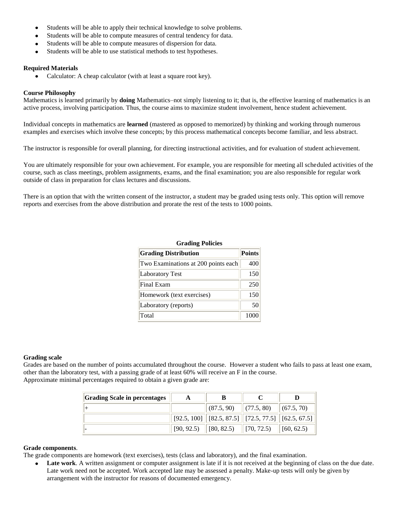- Students will be able to apply their technical knowledge to solve problems.
- Students will be able to compute measures of central tendency for data.
- Students will be able to compute measures of dispersion for data.
- Students will be able to use statistical methods to test hypotheses.

#### **Required Materials**

Calculator: A cheap calculator (with at least a square root key).

#### **Course Philosophy**

Mathematics is learned primarily by **doing** Mathematics–not simply listening to it; that is, the effective learning of mathematics is an active process, involving participation. Thus, the course aims to maximize student involvement, hence student achievement.

Individual concepts in mathematics are **learned** (mastered as opposed to memorized) by thinking and working through numerous examples and exercises which involve these concepts; by this process mathematical concepts become familiar, and less abstract.

The instructor is responsible for overall planning, for directing instructional activities, and for evaluation of student achievement.

You are ultimately responsible for your own achievement. For example, you are responsible for meeting all scheduled activities of the course, such as class meetings, problem assignments, exams, and the final examination; you are also responsible for regular work outside of class in preparation for class lectures and discussions.

There is an option that with the written consent of the instructor, a student may be graded using tests only. This option will remove reports and exercises from the above distribution and prorate the rest of the tests to 1000 points.

| <b>Grading Policies</b>             |               |  |  |  |  |
|-------------------------------------|---------------|--|--|--|--|
| <b>Grading Distribution</b>         | <b>Points</b> |  |  |  |  |
| Two Examinations at 200 points each | 400           |  |  |  |  |
| <b>Laboratory Test</b>              | 150           |  |  |  |  |
| Final Exam                          | 250           |  |  |  |  |
| Homework (text exercises)           | 150           |  |  |  |  |
| Laboratory (reports)                | 50            |  |  |  |  |
| Total                               | 1000          |  |  |  |  |

#### **Grading scale**

Grades are based on the number of points accumulated throughout the course. However a student who fails to pass at least one exam, other than the laboratory test, with a passing grade of at least 60% will receive an F in the course. Approximate minimal percentages required to obtain a given grade are:

| <b>Grading Scale in percentages</b> |            | В                                                                                  |                    |  |
|-------------------------------------|------------|------------------------------------------------------------------------------------|--------------------|--|
|                                     |            | $\vert$ (87.5, 90) $\vert$ (77.5, 80)                                              | (67.5, 70)         |  |
|                                     |            | $\vert$ [92.5, 100] $\vert$ [82.5, 87.5] $\vert$ [72.5, 77.5] $\vert$ [62.5, 67.5] |                    |  |
|                                     | [90, 92.5] | $\left\  \left[ 80, 82.5 \right) \right\  \left[ 70, 72.5 \right)$                 | $\vert$ [60, 62.5) |  |

#### **Grade components**.

The grade components are homework (text exercises), tests (class and laboratory), and the final examination.

Late work. A written assignment or computer assignment is late if it is not received at the beginning of class on the due date.  $\bullet$ Late work need not be accepted. Work accepted late may be assessed a penalty. Make-up tests will only be given by arrangement with the instructor for reasons of documented emergency.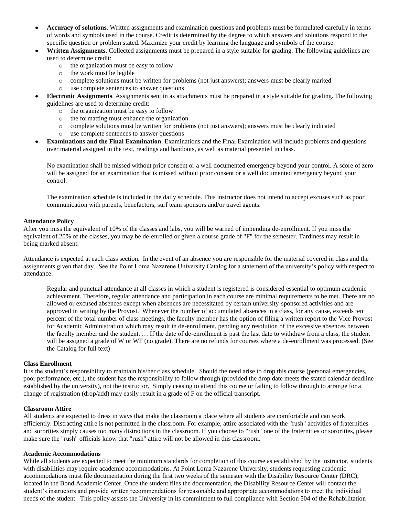- **Accuracy of solutions**. Written assignments and examination questions and problems must be formulated carefully in terms of words and symbols used in the course. Credit is determined by the degree to which answers and solutions respond to the specific question or problem stated. Maximize your credit by learning the language and symbols of the course.
- **Written Assignments**. Collected assignments must be prepared in a style suitable for grading. The following guidelines are used to determine credit:
	- o the organization must be easy to follow
	- o the work must be legible
	- o complete solutions must be written for problems (not just answers); answers must be clearly marked
	- o use complete sentences to answer questions
- **Electronic Assignments**. Assignments sent in as attachments must be prepared in a style suitable for grading. The following guidelines are used to determine credit:
	- o the organization must be easy to follow
	- o the formatting must enhance the organization
	- o complete solutions must be written for problems (not just answers); answers must be clearly indicated
	- o use complete sentences to answer questions
- **Examinations and the Final Examination**. Examinations and the Final Examination will include problems and questions over material assigned in the text, readings and handouts, as well as material presented in class.

No examination shall be missed without prior consent or a well documented emergency beyond your control. A score of zero will be assigned for an examination that is missed without prior consent or a well documented emergency beyond your control.

The examination schedule is included in the daily schedule. This instructor does not intend to accept excuses such as poor communication with parents, benefactors, surf team sponsors and/or travel agents.

#### **Attendance Policy**

After you miss the equivalent of 10% of the classes and labs, you will be warned of impending de-enrollment. If you miss the equivalent of 20% of the classes, you may be de-enrolled or given a course grade of "F" for the semester. Tardiness may result in being marked absent.

Attendance is expected at each class section. In the event of an absence you are responsible for the material covered in class and the assignments given that day. See the Point Loma Nazarene University Catalog for a statement of the university's policy with respect to attendance:

Regular and punctual attendance at all classes in which a student is registered is considered essential to optimum academic achievement. Therefore, regular attendance and participation in each course are minimal requirements to be met. There are no allowed or excused absences except when absences are necessitated by certain university-sponsored activities and are approved in writing by the Provost. Whenever the number of accumulated absences in a class, for any cause, exceeds ten percent of the total number of class meetings, the faculty member has the option of filing a written report to the Vice Provost for Academic Administration which may result in de-enrollment, pending any resolution of the excessive absences between the faculty member and the student. … If the date of de-enrollment is past the last date to withdraw from a class, the student will be assigned a grade of W or WF (no grade). There are no refunds for courses where a de-enrollment was processed. (See the Catalog for full text)

#### **Class Enrollment**

It is the student's responsibility to maintain his/her class schedule. Should the need arise to drop this course (personal emergencies, poor performance, etc.), the student has the responsibility to follow through (provided the drop date meets the stated calendar deadline established by the university), not the instructor. Simply ceasing to attend this course or failing to follow through to arrange for a change of registration (drop/add) may easily result in a grade of F on the official transcript.

### **Classroom Attire**

All students are expected to dress in ways that make the classroom a place where all students are comfortable and can work efficiently. Distracting attire is not permitted in the classroom. For example, attire associated with the "rush" activities of fraternities and sororities simply causes too many distractions in the classroom. If you choose to "rush" one of the fraternities or sororities, please make sure the "rush" officials know that "rush" attire will not be allowed in this classroom.

#### **Academic Accommodations**

While all students are expected to meet the minimum standards for completion of this course as established by the instructor, students with disabilities may require academic accommodations. At Point Loma Nazarene University, students requesting academic accommodations must file documentation during the first two weeks of the semester with the Disability Resource Center (DRC), located in the Bond Academic Center. Once the student files the documentation, the Disability Resource Center will contact the student's instructors and provide written recommendations for reasonable and appropriate accommodations to meet the individual needs of the student. This policy assists the University in its commitment to full compliance with Section 504 of the Rehabilitation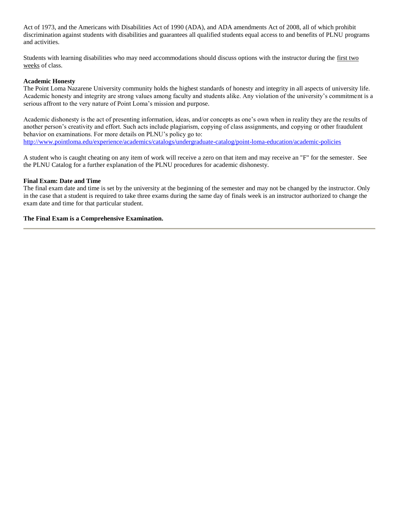Act of 1973, and the Americans with Disabilities Act of 1990 (ADA), and ADA amendments Act of 2008, all of which prohibit discrimination against students with disabilities and guarantees all qualified students equal access to and benefits of PLNU programs and activities.

Students with learning disabilities who may need accommodations should discuss options with the instructor during the first two weeks of class.

#### **Academic Honesty**

The Point Loma Nazarene University community holds the highest standards of honesty and integrity in all aspects of university life. Academic honesty and integrity are strong values among faculty and students alike. Any violation of the university's commitment is a serious affront to the very nature of Point Loma's mission and purpose.

Academic dishonesty is the act of presenting information, ideas, and/or concepts as one's own when in reality they are the results of another person's creativity and effort. Such acts include plagiarism, copying of class assignments, and copying or other fraudulent behavior on examinations. For more details on PLNU's policy go to: <http://www.pointloma.edu/experience/academics/catalogs/undergraduate-catalog/point-loma-education/academic-policies>

A student who is caught cheating on any item of work will receive a zero on that item and may receive an "F" for the semester. See the PLNU Catalog for a further explanation of the PLNU procedures for academic dishonesty.

#### **Final Exam: Date and Time**

The final exam date and time is set by the university at the beginning of the semester and may not be changed by the instructor. Only in the case that a student is required to take three exams during the same day of finals week is an instructor authorized to change the exam date and time for that particular student.

#### **The Final Exam is a Comprehensive Examination.**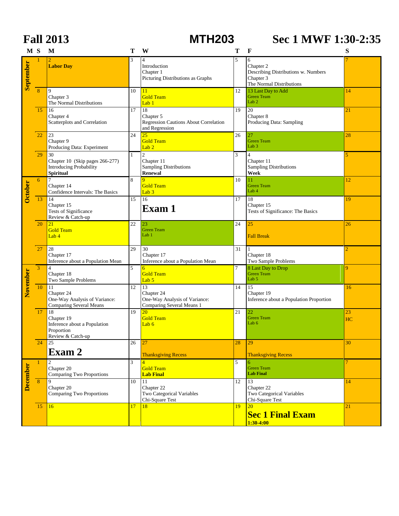|                 | <b>Fall 2013</b> |                                                                                             |              | <b>MTH203</b>                                                                               |    | Sec 1 MWF 1:30-2:35                                                                            |                |  |
|-----------------|------------------|---------------------------------------------------------------------------------------------|--------------|---------------------------------------------------------------------------------------------|----|------------------------------------------------------------------------------------------------|----------------|--|
|                 | M <sub>S</sub>   | M                                                                                           | т            | W                                                                                           | Т  | $\mathbf{F}$                                                                                   | S              |  |
| September       |                  | <b>Labor Day</b>                                                                            | 3            | $\overline{4}$<br>Introduction<br>Chapter 1<br>Picturing Distributions as Graphs            | 5  | 6<br>Chapter 2<br>Describing Distributions w. Numbers<br>Chapter 3<br>The Normal Distributions |                |  |
|                 | 8                | 9<br>Chapter 3<br>The Normal Distributions                                                  | 10           | 11<br><b>Gold Team</b><br>Lab <sub>1</sub>                                                  | 12 | 13 Last Day to Add<br><b>Green Team</b><br>Lab <sub>2</sub>                                    | 14             |  |
|                 | 15               | 16<br>Chapter 4<br>Scatterplots and Correlation                                             | 17           | 18<br>Chapter 5<br>Regression Cautions About Correlation<br>and Regression                  | 19 | 20<br>Chapter 8<br>Producing Data: Sampling                                                    | 21             |  |
|                 | 22               | 23<br>Chapter 9<br>Producing Data: Experiment                                               | 24           | 25<br><b>Gold Team</b><br>Lab <sub>2</sub>                                                  | 26 | $27\,$<br><b>Green Team</b><br>Lab <sub>3</sub>                                                | 28             |  |
|                 | 29               | 30<br>Chapter 10 (Skip pages 266-277)<br><b>Introducing Probability</b><br><b>Spiritual</b> | $\mathbf{1}$ | $\overline{c}$<br>Chapter 11<br><b>Sampling Distributions</b><br><b>Renewal</b>             | 3  | $\overline{4}$<br>Chapter 11<br><b>Sampling Distributions</b><br>Week                          | 5              |  |
| <b>October</b>  | 6                | 7<br>Chapter 14<br>Confidence Intervals: The Basics                                         | 8            | 9<br><b>Gold Team</b><br>Lab $3$                                                            | 10 | 11<br><b>Green Team</b><br>Lab 4                                                               | 12             |  |
|                 | 13               | 14<br>Chapter 15<br>Tests of Significance<br>Review & Catch-up                              | 15           | 16<br>Exam 1                                                                                | 17 | 18<br>Chapter 15<br>Tests of Significance: The Basics                                          | 19             |  |
|                 | 20               | 21<br><b>Gold Team</b><br>Lab 4                                                             | 22           | 23<br><b>Green Team</b><br>Lab 1                                                            | 24 | 25<br><b>Fall Break</b>                                                                        | 26             |  |
|                 | 27               | 28<br>Chapter 17<br>Inference about a Population Mean                                       | 29           | 30<br>Chapter 17<br>Inference about a Population Mean                                       | 31 | Chapter 18<br>Two Sample Problems                                                              | $\overline{2}$ |  |
| November        | 3                | $\overline{4}$<br>Chapter 18<br>Two Sample Problems                                         | 5            | $6\overline{6}$<br><b>Gold Team</b><br>Lab <sub>5</sub>                                     | 7  | 8 Last Day to Drop<br><b>Green Team</b><br>Lab 5                                               | 9              |  |
|                 | 10               | 11<br>Chapter 24<br>One-Way Analysis of Variance:<br><b>Comparing Several Means</b>         | 12           | $\overline{13}$<br>Chapter 24<br>One-Way Analysis of Variance:<br>Comparing Several Means 1 | 14 | 15<br>Chapter 19<br>Inference about a Population Proportion                                    | 16             |  |
|                 | 17               | 18<br>Chapter 19<br>Inference about a Population<br>Proportion<br>Review & Catch-up         | 19           | 20<br><b>Gold Team</b><br>Lab $6$                                                           | 21 | 22<br><b>Green Team</b><br>Lab 6                                                               | 23<br>HC       |  |
|                 | 24               | 25<br>Exam 2                                                                                | 26           | 27<br><b>Thanksgiving Recess</b>                                                            | 28 | 29<br><b>Thanksgiving Recess</b>                                                               | 30             |  |
| <b>December</b> | $\mathbf{1}$     | 2<br>Chapter 20<br>Comparing Two Proportions                                                | 3            | $\overline{4}$<br><b>Gold Team</b><br><b>Lab Final</b>                                      | 5  | 6<br><b>Green Team</b><br><b>Lab Final</b>                                                     | $\overline{7}$ |  |
|                 | 8                | 9<br>Chapter 20<br><b>Comparing Two Proportions</b>                                         | 10           | 11<br>Chapter 22<br><b>Two Categorical Variables</b><br>Chi-Square Test                     | 12 | 13<br>Chapter 22<br>Two Categorical Variables<br>Chi-Square Test                               | 14             |  |
|                 | 15               | 16                                                                                          | 17           | 18                                                                                          | 19 | <b>20</b><br><b>Sec 1 Final Exam</b><br>$1:30-4:00$                                            | 21             |  |